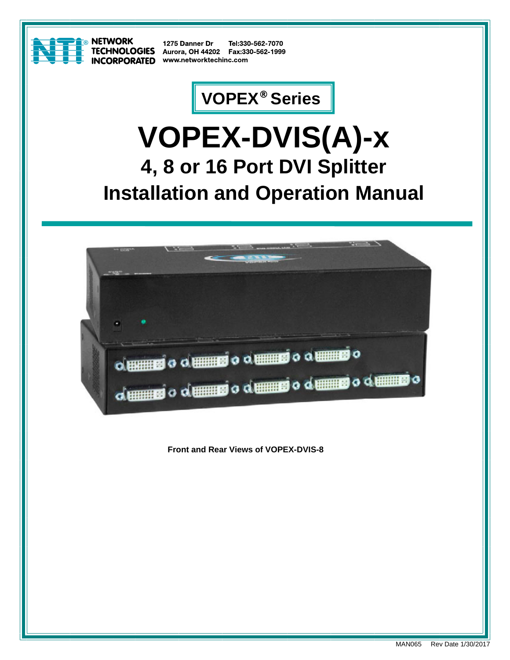

**& NETWORK CORPORATED** 

1275 Danner Dr Tel:330-562-7070 **TECHNOLOGIES** Aurora, OH 44202 Fax:330-562-1999 www.networktechinc.com

## **VOPEX® Series**

# **VOPEX-DVIS(A)-x 4, 8 or 16 Port DVI Splitter Installation and Operation Manual**



**Front and Rear Views of VOPEX-DVIS-8**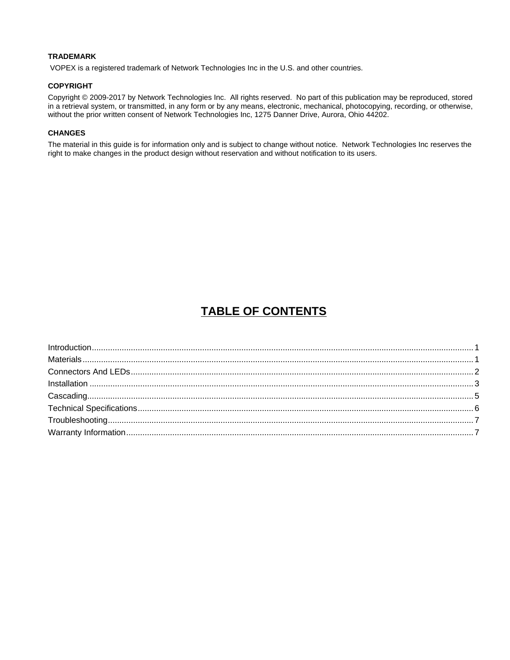#### **TRADEMARK**

VOPEX is a registered trademark of Network Technologies Inc in the U.S. and other countries.

#### **COPYRIGHT**

Copyright © 2009-2017 by Network Technologies Inc. All rights reserved. No part of this publication may be reproduced, stored in a retrieval system, or transmitted, in any form or by any means, electronic, mechanical, photocopying, recording, or otherwise, without the prior written consent of Network Technologies Inc, 1275 Danner Drive, Aurora, Ohio 44202.

#### **CHANGES**

The material in this guide is for information only and is subject to change without notice. Network Technologies Inc reserves the right to make changes in the product design without reservation and without notification to its users.

### **TABLE OF CONTENTS**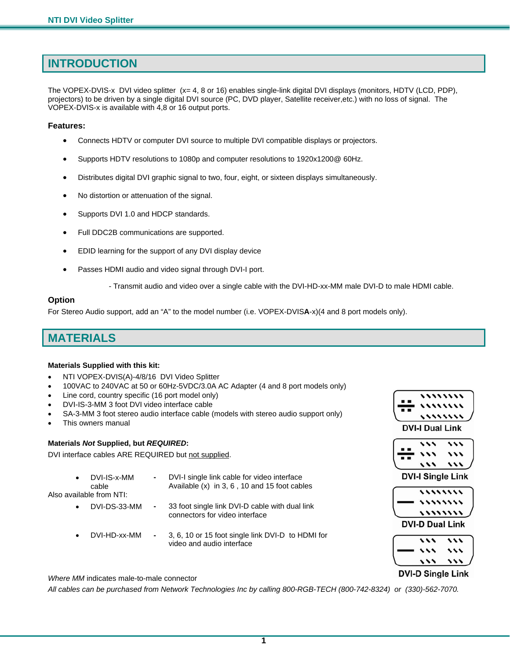### **INTRODUCTION**

The VOPEX-DVIS-x DVI video splitter (x= 4, 8 or 16) enables single-link digital DVI displays (monitors, HDTV (LCD, PDP), projectors) to be driven by a single digital DVI source (PC, DVD player, Satellite receiver,etc.) with no loss of signal. The VOPEX-DVIS-x is available with 4,8 or 16 output ports.

#### **Features:**

- Connects HDTV or computer DVI source to multiple DVI compatible displays or projectors.
- Supports HDTV resolutions to 1080p and computer resolutions to 1920x1200@ 60Hz.
- Distributes digital DVI graphic signal to two, four, eight, or sixteen displays simultaneously.
- No distortion or attenuation of the signal.
- Supports DVI 1.0 and HDCP standards.
- Full DDC2B communications are supported.
- EDID learning for the support of any DVI display device
- Passes HDMI audio and video signal through DVI-I port.
	- Transmit audio and video over a single cable with the DVI-HD-xx-MM male DVI-D to male HDMI cable.

#### **Option**

For Stereo Audio support, add an "A" to the model number (i.e. VOPEX-DVIS**A**-x)(4 and 8 port models only).

### **MATERIALS**

#### **Materials Supplied with this kit:**

- NTI VOPEX-DVIS(A)-4/8/16 DVI Video Splitter
- 100VAC to 240VAC at 50 or 60Hz-5VDC/3.0A AC Adapter (4 and 8 port models only)
- Line cord, country specific (16 port model only)
- DVI-IS-3-MM 3 foot DVI video interface cable
- SA-3-MM 3 foot stereo audio interface cable (models with stereo audio support only)
- This owners manual

#### **Materials** *Not* **Supplied, but** *REQUIRED***:**

DVI interface cables ARE REQUIRED but not supplied.

| DVI-IS-x-MM | DVI-I single link cable for video interface    |
|-------------|------------------------------------------------|
| cable       | Available $(x)$ in 3, 6, 10 and 15 foot cables |

Also available from NTI:

- DVI-DS-33-MM **-** 33 foot single link DVI-D cable with dual link connectors for video interface
- DVI-HD-xx-MM **-** 3, 6, 10 or 15 foot single link DVI-D to HDMI for video and audio interface



| . .<br>г<br>$\blacksquare$ | L |  |
|----------------------------|---|--|
|                            |   |  |

**DVI-I Single Link** 

| ,,,,,,,,  |
|-----------|
| ,,,,,,,,, |
| ,,,,,,,,  |

**DVI-D Dual Link** 

| - |  |
|---|--|
|   |  |

#### **DVI-D Single Link**

*Where MM* indicates male-to-male connector

*All cables can be purchased from Network Technologies Inc by calling 800-RGB-TECH (800-742-8324) or (330)-562-7070.* 

**1**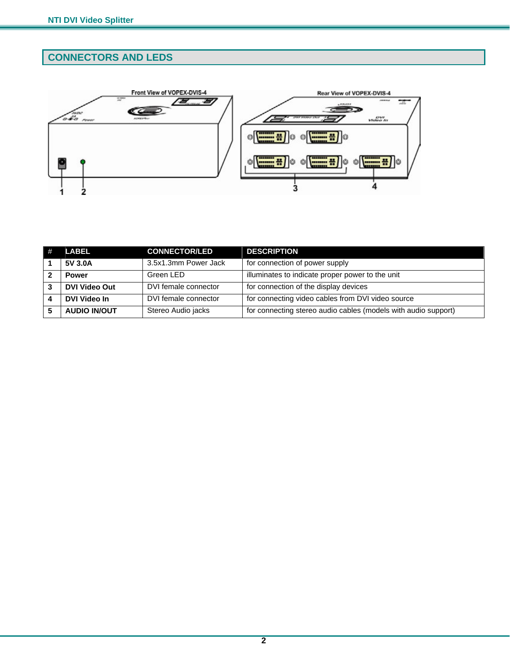### **CONNECTORS AND LEDS**



|   | <b>LABEL</b>         | <b>CONNECTOR/LED</b> | <b>DESCRIPTION</b>                                             |
|---|----------------------|----------------------|----------------------------------------------------------------|
|   | 5V 3.0A              | 3.5x1.3mm Power Jack | for connection of power supply                                 |
|   | <b>Power</b>         | Green LED            | illuminates to indicate proper power to the unit               |
| 3 | <b>DVI Video Out</b> | DVI female connector | for connection of the display devices                          |
|   | DVI Video In         | DVI female connector | for connecting video cables from DVI video source              |
|   | <b>AUDIO IN/OUT</b>  | Stereo Audio jacks   | for connecting stereo audio cables (models with audio support) |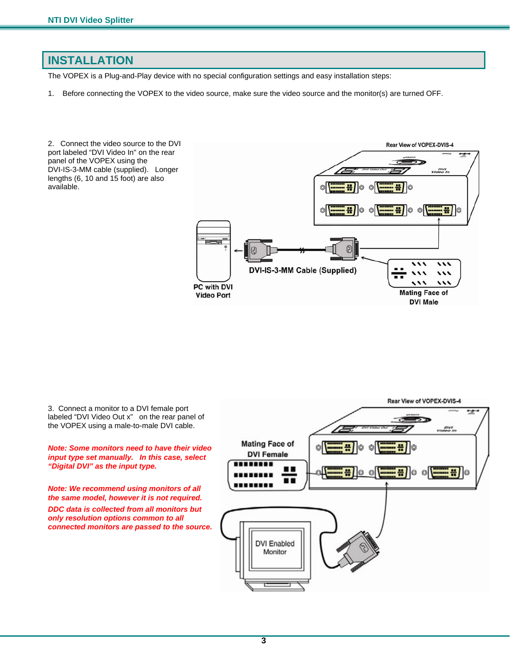### **INSTALLATION**

The VOPEX is a Plug-and-Play device with no special configuration settings and easy installation steps:

1. Before connecting the VOPEX to the video source, make sure the video source and the monitor(s) are turned OFF.

2. Connect the video source to the DVI Rear View of VOPEX-DVIS-4 port labeled "DVI Video In" on the rear ⊶ panel of the VOPEX using the DVI-IS-3-MM cable (supplied). Longer Video In lengths (6, 10 and 15 foot) are also available. ÷ ÷ O  $\circledcirc$ lo  $\circledcirc$ Ð  $\cdots$ DVI-IS-3-MM Cable (Supplied)  $\cdots$  $\cdot$  $\lambda$ PC with DVI **Mating Face of Video Port DVI Male** 

3. Connect a monitor to a DVI female port labeled "DVI Video Out x" on the rear panel of the VOPEX using a male-to-male DVI cable.

#### *Note: Some monitors need to have their video input type set manually. In this case, select "Digital DVI" as the input type.*

*Note: We recommend using monitors of all the same model, however it is not required.* 

*DDC data is collected from all monitors but only resolution options common to all connected monitors are passed to the source.* 

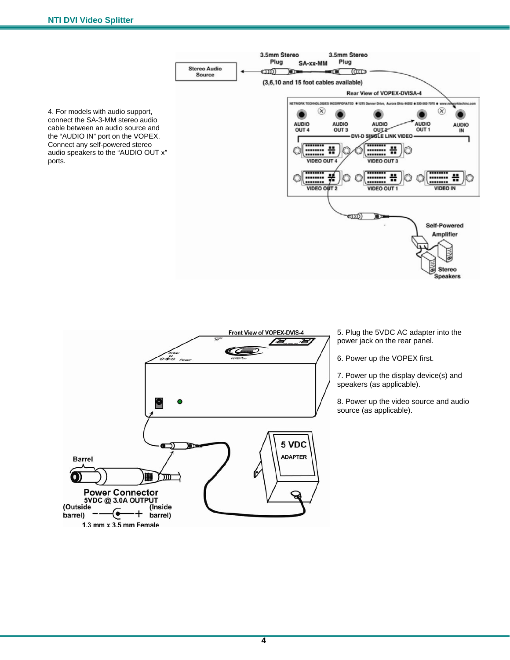1.3 mm x 3.5 mm Female

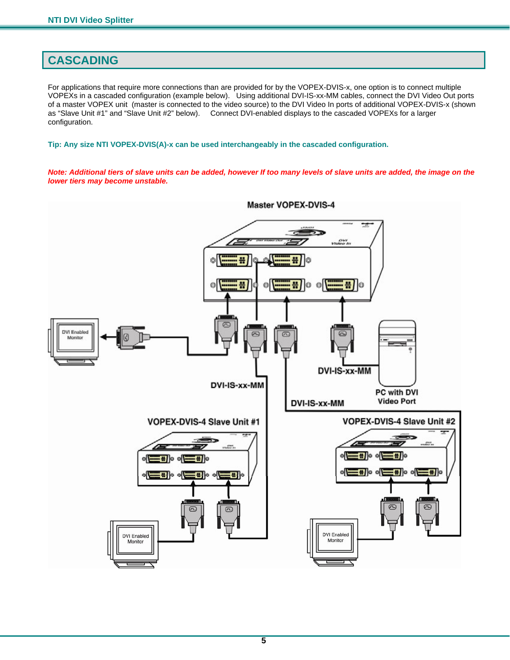### **CASCADING**

For applications that require more connections than are provided for by the VOPEX-DVIS-x, one option is to connect multiple VOPEXs in a cascaded configuration (example below). Using additional DVI-IS-xx-MM cables, connect the DVI Video Out ports of a master VOPEX unit (master is connected to the video source) to the DVI Video In ports of additional VOPEX-DVIS-x (shown as "Slave Unit #1" and "Slave Unit #2" below). Connect DVI-enabled displays to the cascaded VOPEXs for a larger configuration.

**Tip: Any size NTI VOPEX-DVIS(A)-x can be used interchangeably in the cascaded configuration.** 

*Note: Additional tiers of slave units can be added, however If too many levels of slave units are added, the image on the lower tiers may become unstable.* 



**Master VOPEX-DVIS-4**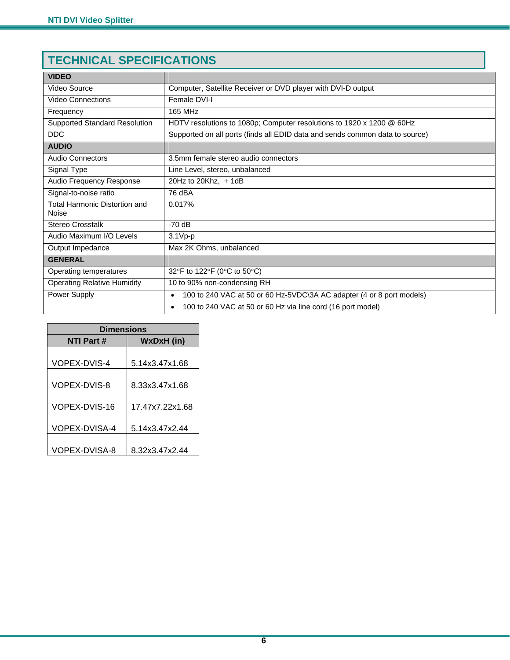### **TECHNICAL SPECIFICATIONS**

| <b>VIDEO</b>                           |                                                                                    |  |
|----------------------------------------|------------------------------------------------------------------------------------|--|
| Video Source                           | Computer, Satellite Receiver or DVD player with DVI-D output                       |  |
| <b>Video Connections</b>               | Female DVI-I                                                                       |  |
| Frequency                              | <b>165 MHz</b>                                                                     |  |
| <b>Supported Standard Resolution</b>   | HDTV resolutions to 1080p; Computer resolutions to 1920 x 1200 @ 60Hz              |  |
| <b>DDC</b>                             | Supported on all ports (finds all EDID data and sends common data to source)       |  |
| <b>AUDIO</b>                           |                                                                                    |  |
| <b>Audio Connectors</b>                | 3.5mm female stereo audio connectors                                               |  |
| Signal Type                            | Line Level, stereo, unbalanced                                                     |  |
| Audio Frequency Response               | 20Hz to 20Khz, $\pm$ 1dB                                                           |  |
| Signal-to-noise ratio                  | 76 dBA                                                                             |  |
| Total Harmonic Distortion and<br>Noise | 0.017%                                                                             |  |
| <b>Stereo Crosstalk</b>                | $-70$ dB                                                                           |  |
| Audio Maximum I/O Levels               | $3.1Vp-p$                                                                          |  |
| Output Impedance                       | Max 2K Ohms, unbalanced                                                            |  |
| <b>GENERAL</b>                         |                                                                                    |  |
| Operating temperatures                 | 32°F to 122°F (0°C to 50°C)                                                        |  |
| <b>Operating Relative Humidity</b>     | 10 to 90% non-condensing RH                                                        |  |
| Power Supply                           | 100 to 240 VAC at 50 or 60 Hz-5VDC\3A AC adapter (4 or 8 port models)<br>$\bullet$ |  |
|                                        | 100 to 240 VAC at 50 or 60 Hz via line cord (16 port model)<br>$\bullet$           |  |

| <b>Dimensions</b>    |                 |  |  |
|----------------------|-----------------|--|--|
| <b>NTI Part#</b>     | WxDxH (in)      |  |  |
|                      |                 |  |  |
| <b>VOPEX-DVIS-4</b>  | 5.14x3.47x1.68  |  |  |
|                      |                 |  |  |
| VOPEX-DVIS-8         | 8.33x3.47x1.68  |  |  |
|                      |                 |  |  |
| VOPEX-DVIS-16        | 17.47x7.22x1.68 |  |  |
|                      |                 |  |  |
| <b>VOPEX-DVISA-4</b> | 5.14x3.47x2.44  |  |  |
|                      |                 |  |  |
| VOPEX-DVISA-8        | 8.32x3.47x2.44  |  |  |